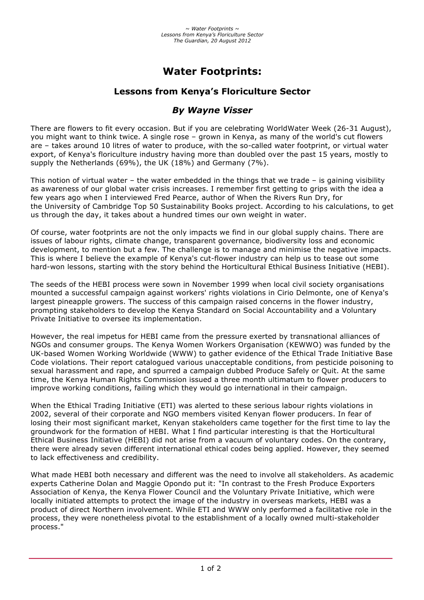# **Water Footprints:**

## **Lessons from Kenya's Floriculture Sector**

## *By Wayne Visser*

There are flowers to fit every occasion. But if you are celebrating WorldWater Week (26-31 August), you might want to think twice. A single rose – grown in Kenya, as many of the world's cut flowers are – takes around 10 litres of water to produce, with the so-called water footprint, or virtual water export, of Kenya's floriculture industry having more than doubled over the past 15 years, mostly to supply the Netherlands (69%), the UK (18%) and Germany (7%).

This notion of virtual water – the water embedded in the things that we trade – is gaining visibility as awareness of our global water crisis increases. I remember first getting to grips with the idea a few years ago when I interviewed Fred Pearce, author of When the Rivers Run Dry, for the University of Cambridge Top 50 Sustainability Books project. According to his calculations, to get us through the day, it takes about a hundred times our own weight in water.

Of course, water footprints are not the only impacts we find in our global supply chains. There are issues of labour rights, climate change, transparent governance, biodiversity loss and economic development, to mention but a few. The challenge is to manage and minimise the negative impacts. This is where I believe the example of Kenya's cut-flower industry can help us to tease out some hard-won lessons, starting with the story behind the Horticultural Ethical Business Initiative (HEBI).

The seeds of the HEBI process were sown in November 1999 when local civil society organisations mounted a successful campaign against workers' rights violations in Cirio Delmonte, one of Kenya's largest pineapple growers. The success of this campaign raised concerns in the flower industry, prompting stakeholders to develop the Kenya Standard on Social Accountability and a Voluntary Private Initiative to oversee its implementation.

However, the real impetus for HEBI came from the pressure exerted by transnational alliances of NGOs and consumer groups. The Kenya Women Workers Organisation (KEWWO) was funded by the UK-based Women Working Worldwide (WWW) to gather evidence of the Ethical Trade Initiative Base Code violations. Their report catalogued various unacceptable conditions, from pesticide poisoning to sexual harassment and rape, and spurred a campaign dubbed Produce Safely or Quit. At the same time, the Kenya Human Rights Commission issued a three month ultimatum to flower producers to improve working conditions, failing which they would go international in their campaign.

When the Ethical Trading Initiative (ETI) was alerted to these serious labour rights violations in 2002, several of their corporate and NGO members visited Kenyan flower producers. In fear of losing their most significant market, Kenyan stakeholders came together for the first time to lay the groundwork for the formation of HEBI. What I find particular interesting is that the Horticultural Ethical Business Initiative (HEBI) did not arise from a vacuum of voluntary codes. On the contrary, there were already seven different international ethical codes being applied. However, they seemed to lack effectiveness and credibility.

What made HEBI both necessary and different was the need to involve all stakeholders. As academic experts Catherine Dolan and Maggie Opondo put it: "In contrast to the Fresh Produce Exporters Association of Kenya, the Kenya Flower Council and the Voluntary Private Initiative, which were locally initiated attempts to protect the image of the industry in overseas markets, HEBI was a product of direct Northern involvement. While ETI and WWW only performed a facilitative role in the process, they were nonetheless pivotal to the establishment of a locally owned multi-stakeholder process."